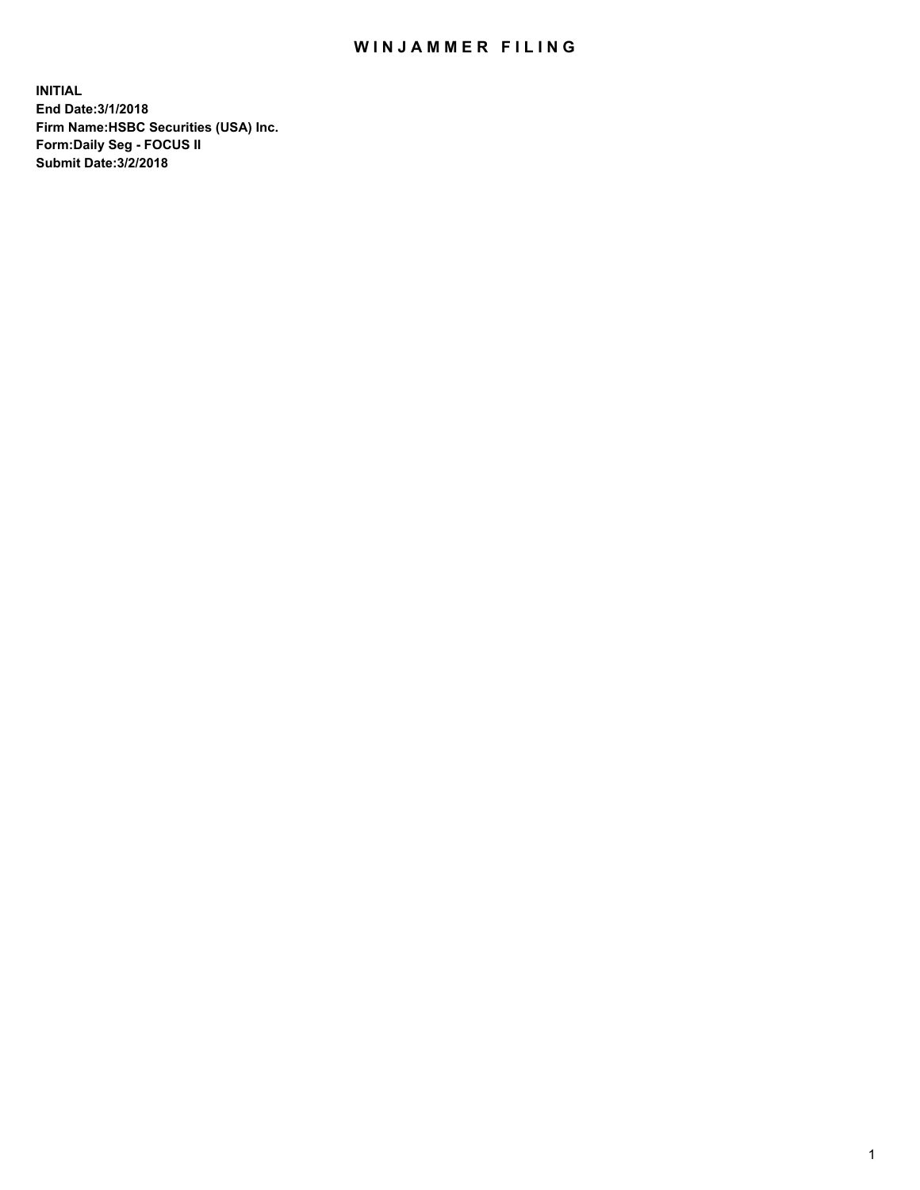## WIN JAMMER FILING

**INITIAL End Date:3/1/2018 Firm Name:HSBC Securities (USA) Inc. Form:Daily Seg - FOCUS II Submit Date:3/2/2018**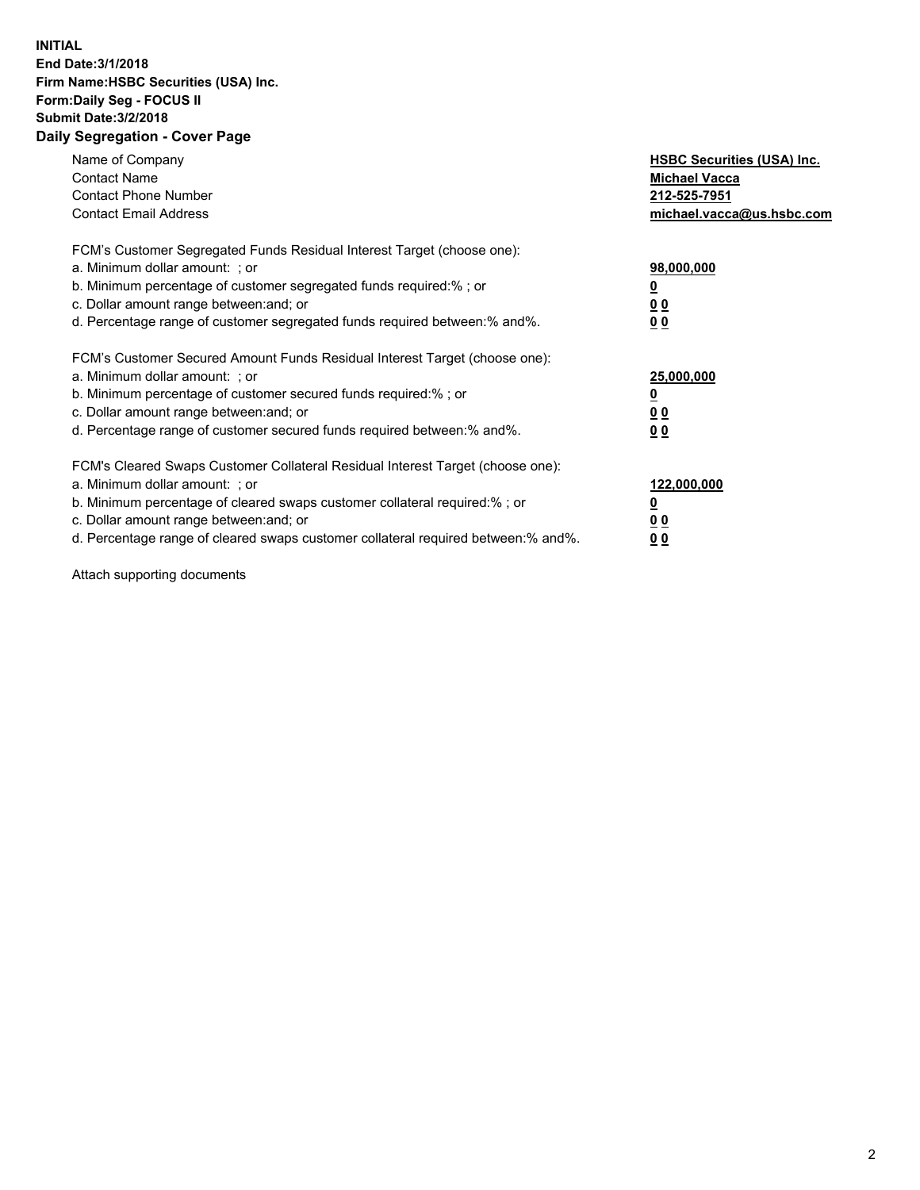## **INITIAL End Date:3/1/2018 Firm Name:HSBC Securities (USA) Inc. Form:Daily Seg - FOCUS II Submit Date:3/2/2018 Daily Segregation - Cover Page**

| Name of Company<br><b>Contact Name</b><br><b>Contact Phone Number</b><br><b>Contact Email Address</b>                                                                                                                                                                                                                         | <b>HSBC Securities (USA) Inc.</b><br><b>Michael Vacca</b><br>212-525-7951<br>michael.vacca@us.hsbc.com |
|-------------------------------------------------------------------------------------------------------------------------------------------------------------------------------------------------------------------------------------------------------------------------------------------------------------------------------|--------------------------------------------------------------------------------------------------------|
| FCM's Customer Segregated Funds Residual Interest Target (choose one):<br>a. Minimum dollar amount: ; or<br>b. Minimum percentage of customer segregated funds required:%; or<br>c. Dollar amount range between: and; or<br>d. Percentage range of customer segregated funds required between: % and %.                       | 98,000,000<br><u>0</u><br><u>00</u><br><u>00</u>                                                       |
| FCM's Customer Secured Amount Funds Residual Interest Target (choose one):<br>a. Minimum dollar amount: ; or<br>b. Minimum percentage of customer secured funds required:%; or<br>c. Dollar amount range between: and; or<br>d. Percentage range of customer secured funds required between: % and %.                         | 25,000,000<br><u>0</u><br><u>00</u><br>00                                                              |
| FCM's Cleared Swaps Customer Collateral Residual Interest Target (choose one):<br>a. Minimum dollar amount: ; or<br>b. Minimum percentage of cleared swaps customer collateral required:%; or<br>c. Dollar amount range between: and; or<br>d. Percentage range of cleared swaps customer collateral required between:% and%. | 122,000,000<br><u>0</u><br><u>00</u><br><u>00</u>                                                      |

Attach supporting documents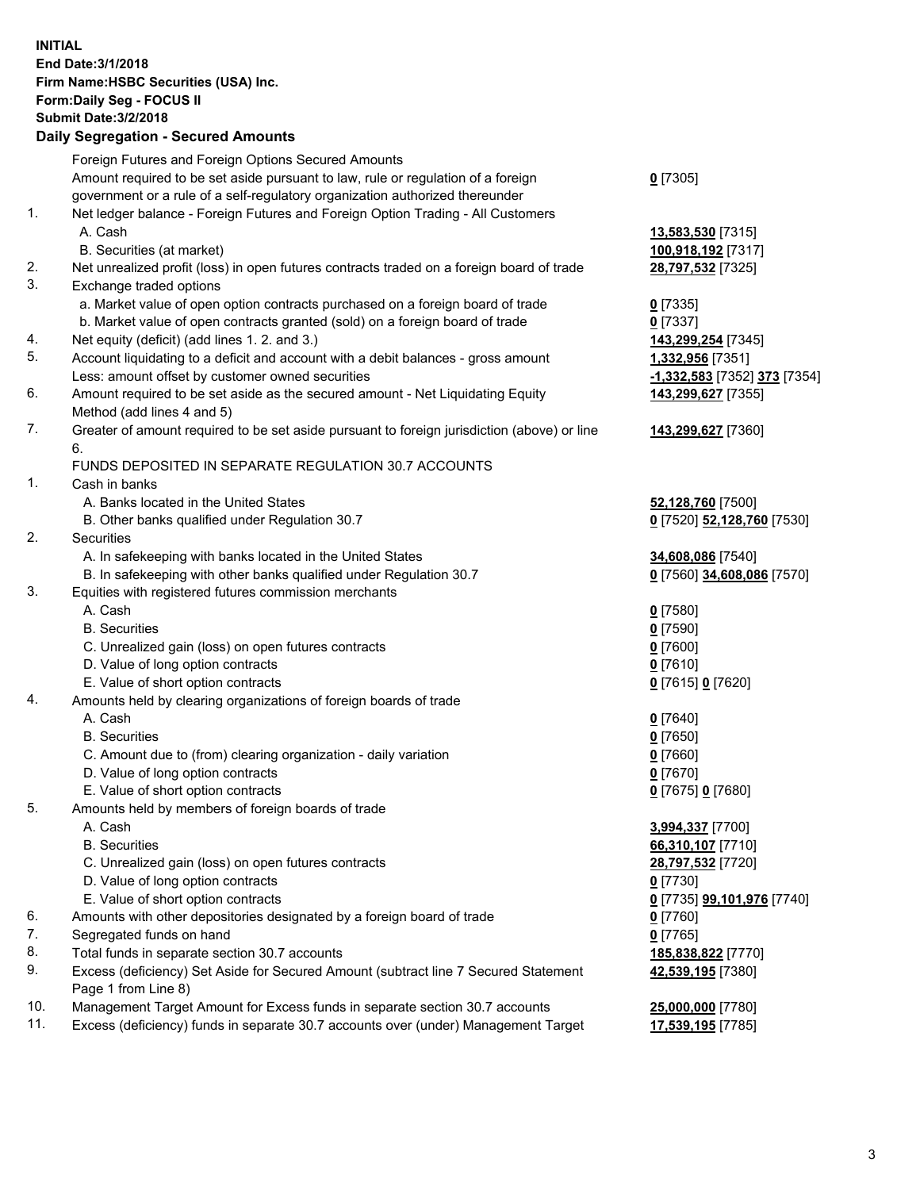**INITIAL End Date:3/1/2018 Firm Name:HSBC Securities (USA) Inc. Form:Daily Seg - FOCUS II Submit Date:3/2/2018 Daily Segregation - Secured Amounts** Foreign Futures and Foreign Options Secured Amounts Amount required to be set aside pursuant to law, rule or regulation of a foreign government or a rule of a self-regulatory organization authorized thereunder **0** [7305] 1. Net ledger balance - Foreign Futures and Foreign Option Trading - All Customers A. Cash **13,583,530** [7315] B. Securities (at market) **100,918,192** [7317] 2. Net unrealized profit (loss) in open futures contracts traded on a foreign board of trade **28,797,532** [7325] 3. Exchange traded options a. Market value of open option contracts purchased on a foreign board of trade **0** [7335] b. Market value of open contracts granted (sold) on a foreign board of trade **0** [7337] 4. Net equity (deficit) (add lines 1. 2. and 3.) **143,299,254** [7345] 5. Account liquidating to a deficit and account with a debit balances - gross amount **1,332,956** [7351] Less: amount offset by customer owned securities **-1,332,583** [7352] **373** [7354] 6. Amount required to be set aside as the secured amount - Net Liquidating Equity Method (add lines 4 and 5) **143,299,627** [7355] 7. Greater of amount required to be set aside pursuant to foreign jurisdiction (above) or line 6. **143,299,627** [7360] FUNDS DEPOSITED IN SEPARATE REGULATION 30.7 ACCOUNTS 1. Cash in banks A. Banks located in the United States **52,128,760** [7500] B. Other banks qualified under Regulation 30.7 **0** [7520] **52,128,760** [7530] 2. Securities A. In safekeeping with banks located in the United States **34,608,086** [7540] B. In safekeeping with other banks qualified under Regulation 30.7 **0** [7560] **34,608,086** [7570] 3. Equities with registered futures commission merchants A. Cash **0** [7580] B. Securities **0** [7590] C. Unrealized gain (loss) on open futures contracts **0** [7600] D. Value of long option contracts **0** [7610] E. Value of short option contracts **0** [7615] **0** [7620] 4. Amounts held by clearing organizations of foreign boards of trade A. Cash **0** [7640] B. Securities **0** [7650] C. Amount due to (from) clearing organization - daily variation **0** [7660] D. Value of long option contracts **0** [7670] E. Value of short option contracts **0** [7675] **0** [7680] 5. Amounts held by members of foreign boards of trade A. Cash **3,994,337** [7700] B. Securities **66,310,107** [7710] C. Unrealized gain (loss) on open futures contracts **28,797,532** [7720] D. Value of long option contracts **0** [7730] E. Value of short option contracts **0** [7735] **99,101,976** [7740] 6. Amounts with other depositories designated by a foreign board of trade **0** [7760] 7. Segregated funds on hand **0** [7765] 8. Total funds in separate section 30.7 accounts **185,838,822** [7770] 9. Excess (deficiency) Set Aside for Secured Amount (subtract line 7 Secured Statement Page 1 from Line 8) **42,539,195** [7380] 10. Management Target Amount for Excess funds in separate section 30.7 accounts **25,000,000** [7780] 11. Excess (deficiency) funds in separate 30.7 accounts over (under) Management Target **17,539,195** [7785]

3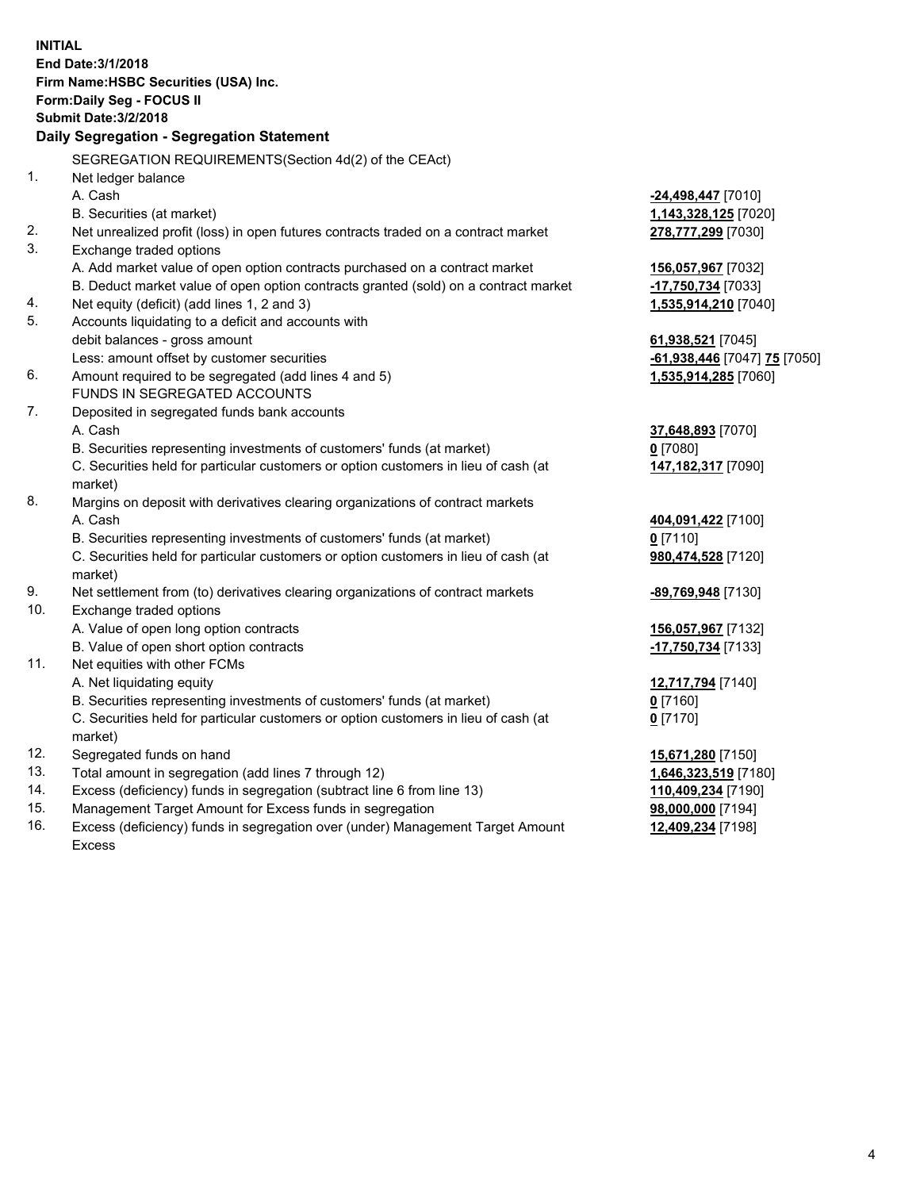| <b>INITIAL</b> | End Date: 3/1/2018<br>Firm Name: HSBC Securities (USA) Inc.<br>Form: Daily Seg - FOCUS II<br><b>Submit Date: 3/2/2018</b><br>Daily Segregation - Segregation Statement |                              |
|----------------|------------------------------------------------------------------------------------------------------------------------------------------------------------------------|------------------------------|
|                | SEGREGATION REQUIREMENTS(Section 4d(2) of the CEAct)                                                                                                                   |                              |
| 1.             | Net ledger balance                                                                                                                                                     |                              |
|                | A. Cash                                                                                                                                                                | -24,498,447 [7010]           |
|                | B. Securities (at market)                                                                                                                                              | 1,143,328,125 [7020]         |
| 2.             | Net unrealized profit (loss) in open futures contracts traded on a contract market                                                                                     | 278,777,299 [7030]           |
| 3.             | Exchange traded options                                                                                                                                                |                              |
|                | A. Add market value of open option contracts purchased on a contract market                                                                                            | 156,057,967 [7032]           |
|                | B. Deduct market value of open option contracts granted (sold) on a contract market                                                                                    | -17,750,734 [7033]           |
| 4.             | Net equity (deficit) (add lines 1, 2 and 3)                                                                                                                            | 1,535,914,210 [7040]         |
| 5.             | Accounts liquidating to a deficit and accounts with                                                                                                                    |                              |
|                | debit balances - gross amount                                                                                                                                          | 61,938,521 [7045]            |
|                | Less: amount offset by customer securities                                                                                                                             | -61,938,446 [7047] 75 [7050] |
| 6.             | Amount required to be segregated (add lines 4 and 5)                                                                                                                   | 1,535,914,285 [7060]         |
|                | FUNDS IN SEGREGATED ACCOUNTS                                                                                                                                           |                              |
| 7.             | Deposited in segregated funds bank accounts                                                                                                                            |                              |
|                | A. Cash                                                                                                                                                                | 37,648,893 [7070]            |
|                | B. Securities representing investments of customers' funds (at market)                                                                                                 | $0$ [7080]                   |
|                | C. Securities held for particular customers or option customers in lieu of cash (at<br>market)                                                                         | 147,182,317 [7090]           |
| 8.             | Margins on deposit with derivatives clearing organizations of contract markets                                                                                         |                              |
|                | A. Cash                                                                                                                                                                | 404,091,422 [7100]           |
|                | B. Securities representing investments of customers' funds (at market)                                                                                                 | $0$ [7110]                   |
|                | C. Securities held for particular customers or option customers in lieu of cash (at                                                                                    |                              |
|                | market)                                                                                                                                                                | 980,474,528 [7120]           |
| 9.             | Net settlement from (to) derivatives clearing organizations of contract markets                                                                                        | <u>-89,769,948</u> [7130]    |
| 10.            | Exchange traded options                                                                                                                                                |                              |
|                | A. Value of open long option contracts                                                                                                                                 | 156,057,967 [7132]           |
|                | B. Value of open short option contracts                                                                                                                                | -17,750,734 [7133]           |
| 11.            | Net equities with other FCMs                                                                                                                                           |                              |
|                | A. Net liquidating equity                                                                                                                                              | 12,717,794 [7140]            |
|                | B. Securities representing investments of customers' funds (at market)                                                                                                 | $0$ [7160]                   |
|                | C. Securities held for particular customers or option customers in lieu of cash (at                                                                                    | $0$ [7170]                   |
|                | market)                                                                                                                                                                |                              |
| 12.            | Segregated funds on hand                                                                                                                                               | 15,671,280 [7150]            |
| 13.            | Total amount in segregation (add lines 7 through 12)                                                                                                                   | 1,646,323,519 [7180]         |
| 14.            | Excess (deficiency) funds in segregation (subtract line 6 from line 13)                                                                                                | 110,409,234 [7190]           |
| 15.            | Management Target Amount for Excess funds in segregation                                                                                                               | 98,000,000 [7194]            |
| 16.            | Excess (deficiency) funds in segregation over (under) Management Target Amount                                                                                         | 12,409,234 [7198]            |

Excess